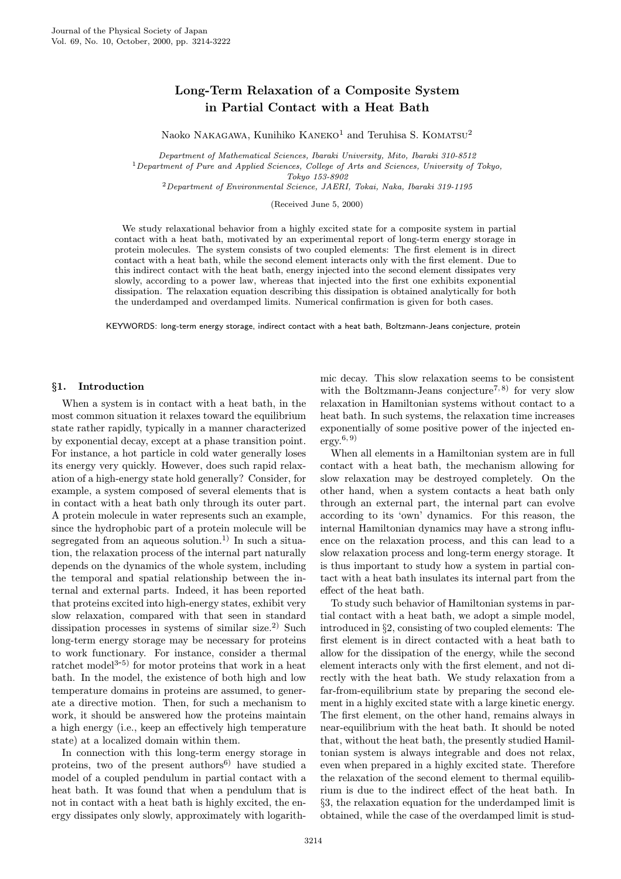# Long-Term Relaxation of a Composite System in Partial Contact with a Heat Bath

Naoko NAKAGAWA, Kunihiko KANEKO<sup>1</sup> and Teruhisa S. KOMATSU<sup>2</sup>

Department of Mathematical Sciences, Ibaraki University, Mito, Ibaraki 310-8512  $1$ Department of Pure and Applied Sciences, College of Arts and Sciences, University of Tokyo, Tokyo 153-8902

<sup>2</sup>Department of Environmental Science, JAERI, Tokai, Naka, Ibaraki 319-1195

(Received June 5, 2000)

We study relaxational behavior from a highly excited state for a composite system in partial contact with a heat bath, motivated by an experimental report of long-term energy storage in protein molecules. The system consists of two coupled elements: The first element is in direct contact with a heat bath, while the second element interacts only with the first element. Due to this indirect contact with the heat bath, energy injected into the second element dissipates very slowly, according to a power law, whereas that injected into the first one exhibits exponential dissipation. The relaxation equation describing this dissipation is obtained analytically for both the underdamped and overdamped limits. Numerical confirmation is given for both cases.

KEYWORDS: long-term energy storage, indirect contact with a heat bath, Boltzmann-Jeans conjecture, protein

#### §1. Introduction

When a system is in contact with a heat bath, in the most common situation it relaxes toward the equilibrium state rather rapidly, typically in a manner characterized by exponential decay, except at a phase transition point. For instance, a hot particle in cold water generally loses its energy very quickly. However, does such rapid relaxation of a high-energy state hold generally? Consider, for example, a system composed of several elements that is in contact with a heat bath only through its outer part. A protein molecule in water represents such an example, since the hydrophobic part of a protein molecule will be segregated from an aqueous solution.<sup>1)</sup> In such a situation, the relaxation process of the internal part naturally depends on the dynamics of the whole system, including the temporal and spatial relationship between the internal and external parts. Indeed, it has been reported that proteins excited into high-energy states, exhibit very slow relaxation, compared with that seen in standard dissipation processes in systems of similar size.<sup>2)</sup> Such long-term energy storage may be necessary for proteins to work functionary. For instance, consider a thermal ratchet model<sup>3-5)</sup> for motor proteins that work in a heat bath. In the model, the existence of both high and low temperature domains in proteins are assumed, to generate a directive motion. Then, for such a mechanism to work, it should be answered how the proteins maintain a high energy (i.e., keep an effectively high temperature state) at a localized domain within them.

In connection with this long-term energy storage in proteins, two of the present authors $6$  have studied a model of a coupled pendulum in partial contact with a heat bath. It was found that when a pendulum that is not in contact with a heat bath is highly excited, the energy dissipates only slowly, approximately with logarithmic decay. This slow relaxation seems to be consistent with the Boltzmann-Jeans conjecture<sup>7,8)</sup> for very slow relaxation in Hamiltonian systems without contact to a heat bath. In such systems, the relaxation time increases exponentially of some positive power of the injected energy.<sup>6</sup>, 9)

When all elements in a Hamiltonian system are in full contact with a heat bath, the mechanism allowing for slow relaxation may be destroyed completely. On the other hand, when a system contacts a heat bath only through an external part, the internal part can evolve according to its 'own' dynamics. For this reason, the internal Hamiltonian dynamics may have a strong influence on the relaxation process, and this can lead to a slow relaxation process and long-term energy storage. It is thus important to study how a system in partial contact with a heat bath insulates its internal part from the effect of the heat bath.

To study such behavior of Hamiltonian systems in partial contact with a heat bath, we adopt a simple model, introduced in §2, consisting of two coupled elements: The first element is in direct contacted with a heat bath to allow for the dissipation of the energy, while the second element interacts only with the first element, and not directly with the heat bath. We study relaxation from a far-from-equilibrium state by preparing the second element in a highly excited state with a large kinetic energy. The first element, on the other hand, remains always in near-equilibrium with the heat bath. It should be noted that, without the heat bath, the presently studied Hamiltonian system is always integrable and does not relax, even when prepared in a highly excited state. Therefore the relaxation of the second element to thermal equilibrium is due to the indirect effect of the heat bath. In §3, the relaxation equation for the underdamped limit is obtained, while the case of the overdamped limit is stud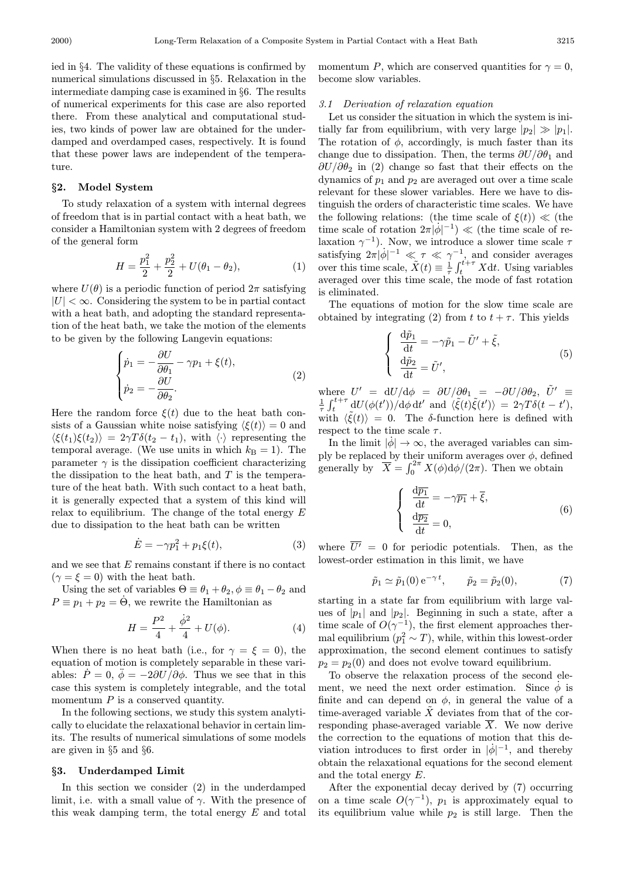ied in §4. The validity of these equations is confirmed by numerical simulations discussed in §5. Relaxation in the intermediate damping case is examined in §6. The results of numerical experiments for this case are also reported there. From these analytical and computational studies, two kinds of power law are obtained for the underdamped and overdamped cases, respectively. It is found that these power laws are independent of the temperature.

# §2. Model System

To study relaxation of a system with internal degrees of freedom that is in partial contact with a heat bath, we consider a Hamiltonian system with 2 degrees of freedom of the general form

$$
H = \frac{p_1^2}{2} + \frac{p_2^2}{2} + U(\theta_1 - \theta_2),\tag{1}
$$

where  $U(\theta)$  is a periodic function of period  $2\pi$  satisfying  $|U| < \infty$ . Considering the system to be in partial contact with a heat bath, and adopting the standard representation of the heat bath, we take the motion of the elements to be given by the following Langevin equations:

$$
\begin{cases}\n\dot{p}_1 = -\frac{\partial U}{\partial \theta_1} - \gamma p_1 + \xi(t), \\
\dot{p}_2 = -\frac{\partial U}{\partial \theta_2}.\n\end{cases}
$$
\n(2)

Here the random force  $\xi(t)$  due to the heat bath consists of a Gaussian white noise satisfying  $\langle \xi(t) \rangle = 0$  and  $\langle \xi(t_1)\xi(t_2)\rangle = 2\gamma T\delta(t_2 - t_1)$ , with  $\langle \cdot \rangle$  representing the temporal average. (We use units in which  $k_B = 1$ ). The parameter  $\gamma$  is the dissipation coefficient characterizing the dissipation to the heat bath, and  $T$  is the temperature of the heat bath. With such contact to a heat bath, it is generally expected that a system of this kind will relax to equilibrium. The change of the total energy  $E$ due to dissipation to the heat bath can be written

$$
\dot{E} = -\gamma p_1^2 + p_1 \xi(t),\tag{3}
$$

and we see that  $E$  remains constant if there is no contact  $(\gamma = \xi = 0)$  with the heat bath.

Using the set of variables  $\Theta = \theta_1 + \theta_2$ ,  $\phi = \theta_1 - \theta_2$  and  $P \equiv p_1 + p_2 = \dot{\Theta}$ , we rewrite the Hamiltonian as

$$
H = \frac{P^2}{4} + \frac{\dot{\phi}^2}{4} + U(\phi). \tag{4}
$$

When there is no heat bath (i.e., for  $\gamma = \xi = 0$ ), the equation of motion is completely separable in these variables:  $\dot{P} = 0$ ,  $\phi = -2\partial U/\partial \phi$ . Thus we see that in this case this system is completely integrable, and the total momentum  $P$  is a conserved quantity.

In the following sections, we study this system analytically to elucidate the relaxational behavior in certain limits. The results of numerical simulations of some models are given in §5 and §6.

#### §3. Underdamped Limit

In this section we consider (2) in the underdamped limit, i.e. with a small value of  $\gamma$ . With the presence of this weak damping term, the total energy  $E$  and total momentum P, which are conserved quantities for  $\gamma = 0$ , become slow variables.

### 3.1 Derivation of relaxation equation

Let us consider the situation in which the system is initially far from equilibrium, with very large  $|p_2|\gg|p_1|$ . The rotation of  $\phi$ , accordingly, is much faster than its change due to dissipation. Then, the terms  $\partial U/\partial \theta_1$  and  $\partial U/\partial \theta_2$  in (2) change so fast that their effects on the dynamics of  $p_1$  and  $p_2$  are averaged out over a time scale relevant for these slower variables. Here we have to distinguish the orders of characteristic time scales. We have the following relations: (the time scale of  $\xi(t)$ )  $\ll$  (the time scale of rotation  $2\pi |\dot{\phi}|^{-1}$ )  $\ll$  (the time scale of relaxation  $\gamma^{-1}$ ). Now, we introduce a slower time scale  $\tau$ satisfying  $2\pi |\dot{\phi}|^{-1} \ll \tau \ll \gamma^{-1}$ , and consider averages over this time scale,  $\tilde{X}(t) \equiv \frac{1}{\tau} \int_{t}^{t+\tau} X dt$ . Using variables averaged over this time scale, the mode of fast rotation is eliminated.

The equations of motion for the slow time scale are obtained by integrating (2) from t to  $t + \tau$ . This yields

$$
\begin{cases}\n\frac{\mathrm{d}\tilde{p}_1}{\mathrm{d}t} = -\gamma \tilde{p}_1 - \tilde{U}' + \tilde{\xi}, \n\frac{\mathrm{d}\tilde{p}_2}{\mathrm{d}t} = \tilde{U}',\n\end{cases}
$$
\n(5)

where  $U' = dU/d\phi = \partial U/\partial \theta_1 = -\partial U/\partial \theta_2$ ,  $\tilde{U}' \equiv \frac{1}{\tau} \int_t^{t+\tau} dU(\phi(t'))/d\phi dt'$  and  $\langle \tilde{\xi}(t)\tilde{\xi}(t') \rangle = 2\gamma T\delta(t-t')$ , with  $\langle \tilde{\xi}(t) \rangle = 0$ . The  $\delta$ -function here is defined with respect to the time scale  $\tau$ .

In the limit  $|\phi| \to \infty$ , the averaged variables can simply be replaced by their uniform averages over  $\phi$ , defined generally by  $\overline{X} = \int_0^{2\pi} X(\phi) d\phi/(2\pi)$ . Then we obtain

$$
\begin{cases}\n\frac{\mathrm{d}\overline{p_1}}{\mathrm{d}t} = -\gamma \overline{p_1} + \overline{\xi}, \n\frac{\mathrm{d}\overline{p_2}}{\mathrm{d}t} = 0,\n\end{cases}
$$
\n(6)

where  $\overline{U'} = 0$  for periodic potentials. Then, as the lowest-order estimation in this limit, we have

$$
\tilde{p}_1 \simeq \tilde{p}_1(0) e^{-\gamma t}, \qquad \tilde{p}_2 = \tilde{p}_2(0), \tag{7}
$$

starting in a state far from equilibrium with large values of  $|p_1|$  and  $|p_2|$ . Beginning in such a state, after a time scale of  $O(\gamma^{-1})$ , the first element approaches thermal equilibrium  $(p_1^2 \sim T)$ , while, within this lowest-order approximation, the second element continues to satisfy  $p_2 = p_2(0)$  and does not evolve toward equilibrium.

the correction to the equations of motion that this deviation introduces to first order in  $|\dot{\phi}|^{-1}$ , and thereby obtain the relaxational equations for the second element and the total energy E. To observe the relaxation process of the second element, we need the next order estimation. Since  $\phi$  is finite and can depend on  $\phi$ , in general the value of a time-averaged variable  $\tilde{X}$  deviates from that of the corresponding phase-averaged variable  $\overline{X}$ . We now derive

After the exponential decay derived by (7) occurring on a time scale  $O(\gamma^{-1})$ ,  $p_1$  is approximately equal to its equilibrium value while  $p_2$  is still large. Then the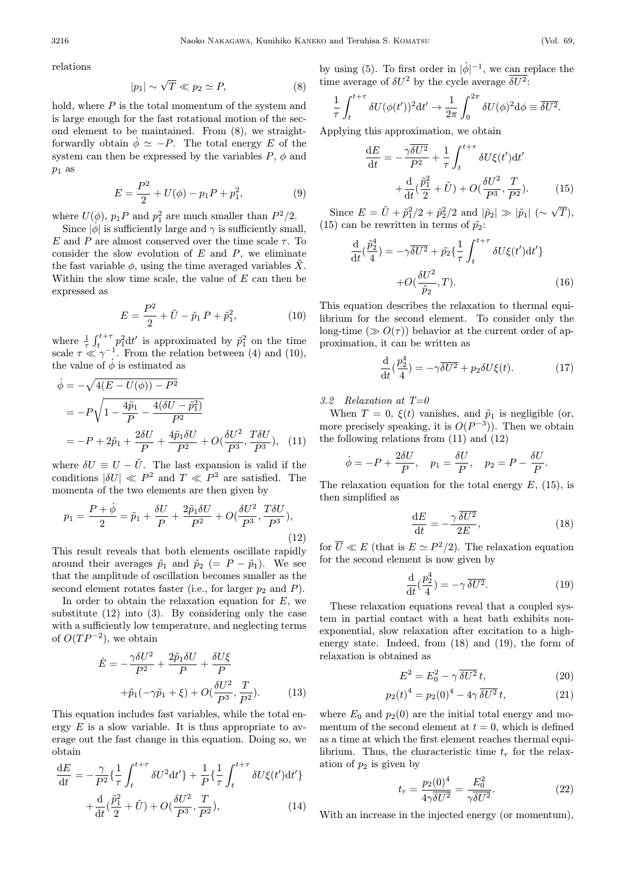relations

$$
|p_1| \sim \sqrt{T} \ll p_2 \simeq P,\tag{8}
$$

hold, where  $P$  is the total momentum of the system and is large enough for the fast rotational motion of the second element to be maintained. From (8), we straightforwardly obtain  $\dot{\phi} \simeq -P$ . The total energy E of the system can then be expressed by the variables  $P, \phi$  and  $p_1$  as

$$
E = \frac{P^2}{2} + U(\phi) - p_1 P + p_1^2,
$$
 (9)

where  $U(\phi)$ ,  $p_1 P$  and  $p_1^2$  are much smaller than  $P^2/2$ .

Since  $|\phi|$  is sufficiently large and  $\gamma$  is sufficiently small, E and P are almost conserved over the time scale  $\tau$ . To consider the slow evolution of  $E$  and  $P$ , we eliminate the fast variable  $\phi$ , using the time averaged variables X. Within the slow time scale, the value of  $E$  can then be expressed as

$$
E = \frac{P^2}{2} + \tilde{U} - \tilde{p}_1 P + \tilde{p}_1^2, \tag{10}
$$

where  $\frac{1}{\tau} \int_{t}^{t+\tau} p_1^2 dt'$  is approximated by  $\tilde{p}_1^2$  on the time scale  $\tau \ll \gamma^{-1}$ . From the relation between (4) and (10), the value of  $\dot{\phi}$  is estimated as

$$
\dot{\phi} = -\sqrt{4(E - U(\phi)) - P^2}
$$
\n
$$
= -P\sqrt{1 - \frac{4\tilde{p}_1}{P} - \frac{4(\delta U - \tilde{p}_1^2)}{P^2}}
$$
\n
$$
= -P + 2\tilde{p}_1 + \frac{2\delta U}{P} + \frac{4\tilde{p}_1 \delta U}{P^2} + O(\frac{\delta U^2}{P^3}, \frac{T\delta U}{P^3}), \quad (11)
$$

where  $\delta U \equiv U - \tilde{U}$ . The last expansion is valid if the conditions  $|\delta U| \ll P^2$  and  $T \ll P^2$  are satisfied. The momenta of the two elements are then given by

$$
p_1 = \frac{P + \dot{\phi}}{2} = \tilde{p}_1 + \frac{\delta U}{P} + \frac{2\tilde{p}_1 \delta U}{P^2} + O(\frac{\delta U^2}{P^3}, \frac{T \delta U}{P^3}),\tag{12}
$$

This result reveals that both elements oscillate rapidly around their averages  $\tilde{p}_1$  and  $\tilde{p}_2$  (= P –  $\tilde{p}_1$ ). We see that the amplitude of oscillation becomes smaller as the second element rotates faster (i.e., for larger  $p_2$  and  $P$ ).

In order to obtain the relaxation equation for  $E$ , we substitute (12) into (3). By considering only the case with a sufficiently low temperature, and neglecting terms of  $O(TP^{-2})$ , we obtain

$$
\dot{E} = -\frac{\gamma \delta U^2}{P^2} + \frac{2\tilde{p}_1 \delta U}{P} + \frac{\delta U \xi}{P}
$$

$$
+\tilde{p}_1(-\gamma \tilde{p}_1 + \xi) + O(\frac{\delta U^2}{P^3}, \frac{T}{P^2}).
$$
(13)

This equation includes fast variables, while the total energy  $E$  is a slow variable. It is thus appropriate to average out the fast change in this equation. Doing so, we obtain

$$
\frac{\mathrm{d}E}{\mathrm{d}t} = -\frac{\gamma}{P^2} \left\{ \frac{1}{\tau} \int_t^{t+\tau} \delta U^2 \mathrm{d}t' \right\} + \frac{1}{P} \left\{ \frac{1}{\tau} \int_t^{t+\tau} \delta U \xi(t') \mathrm{d}t' \right\}
$$
\n
$$
\frac{\mathrm{d}}{\mathrm{d}t} \int_t^{\tilde{p}_1} \int_t^{\tilde{p}_1} \delta U^2 \, dU^2 \, dU^2 \, dU \, dU \, dU \, dU
$$

$$
+\frac{\mathrm{d}}{\mathrm{d}t}(\frac{\tilde{p}_1^2}{2}+\tilde{U})+O(\frac{\delta U^2}{P^3},\frac{T}{P^2}),\tag{14}
$$

by using (5). To first order in  $|\dot{\phi}|^{-1}$ , we can replace the time average of  $\delta U^2$  by the cycle average  $\overline{\delta U^2}$ :

$$
\frac{1}{\tau} \int_{t}^{t+\tau} \delta U(\phi(t'))^2 dt' \to \frac{1}{2\pi} \int_{0}^{2\pi} \delta U(\phi)^2 d\phi \equiv \overline{\delta U^2}.
$$

Applying this approximation, we obtain

$$
\frac{\mathrm{d}E}{\mathrm{d}t} = -\frac{\gamma \overline{\delta U^2}}{P^2} + \frac{1}{\tau} \int_t^{t+\tau} \delta U \xi(t') \mathrm{d}t' + \frac{\mathrm{d}}{\mathrm{d}t} (\frac{\tilde{p}_1^2}{2} + \tilde{U}) + O(\frac{\delta U^2}{P^3}, \frac{T}{P^2}). \tag{15}
$$

Since  $E = \tilde{U} + \tilde{p}_1^2/2 + \tilde{p}_2^2/2$  and  $|\tilde{p}_2| \gg |\tilde{p}_1| \; (\sim \sqrt{T}),$ (15) can be rewritten in terms of  $\tilde{p}_2$ :

$$
\frac{\mathrm{d}}{\mathrm{d}t}(\frac{\tilde{p}_2^4}{4}) = -\gamma \overline{\delta U^2} + \tilde{p}_2 \left\{ \frac{1}{\tau} \int_t^{t+\tau} \delta U \xi(t') \mathrm{d}t' \right\} \n+ O(\frac{\delta U^2}{\tilde{p}_2}, T).
$$
\n(16)

This equation describes the relaxation to thermal equilibrium for the second element. To consider only the long-time  $(\gg O(\tau))$  behavior at the current order of approximation, it can be written as

$$
\frac{\mathrm{d}}{\mathrm{d}t}(\frac{p_2^4}{4}) = -\gamma \overline{\delta U^2} + p_2 \delta U \xi(t). \tag{17}
$$

3.2 Relaxation at  $T=0$ 

When  $T = 0$ ,  $\xi(t)$  vanishes, and  $\tilde{p}_1$  is negligible (or, more precisely speaking, it is  $O(P^{-3})$ ). Then we obtain the following relations from (11) and (12)

$$
\dot{\phi} = -P + \frac{2\delta U}{P}, \quad p_1 = \frac{\delta U}{P}, \quad p_2 = P - \frac{\delta U}{P}.
$$

The relaxation equation for the total energy  $E$ , (15), is then simplified as

$$
\frac{\mathrm{d}E}{\mathrm{d}t} = -\frac{\gamma}{2E} \frac{\overline{\delta U^2}}{R},\tag{18}
$$

for  $\overline{U} \ll E$  (that is  $E \simeq P^2/2$ ). The relaxation equation for the second element is now given by

$$
\frac{\mathrm{d}}{\mathrm{d}t}(\frac{p_2^4}{4}) = -\gamma \,\overline{\delta U^2}.\tag{19}
$$

These relaxation equations reveal that a coupled system in partial contact with a heat bath exhibits nonexponential, slow relaxation after excitation to a highenergy state. Indeed, from (18) and (19), the form of relaxation is obtained as

$$
E^2 = E_0^2 - \gamma \, \overline{\delta U^2} \, t,\tag{20}
$$

$$
p_2(t)^4 = p_2(0)^4 - 4\gamma \,\overline{\delta U^2} \, t,\tag{21}
$$

where  $E_0$  and  $p_2(0)$  are the initial total energy and momentum of the second element at  $t = 0$ , which is defined as a time at which the first element reaches thermal equilibrium. Thus, the characteristic time  $t_r$  for the relaxation of  $p_2$  is given by

$$
t_r = \frac{p_2(0)^4}{4\gamma \overline{\delta U^2}} = \frac{E_0^2}{\gamma \overline{\delta U^2}}.
$$
 (22)

With an increase in the injected energy (or momentum),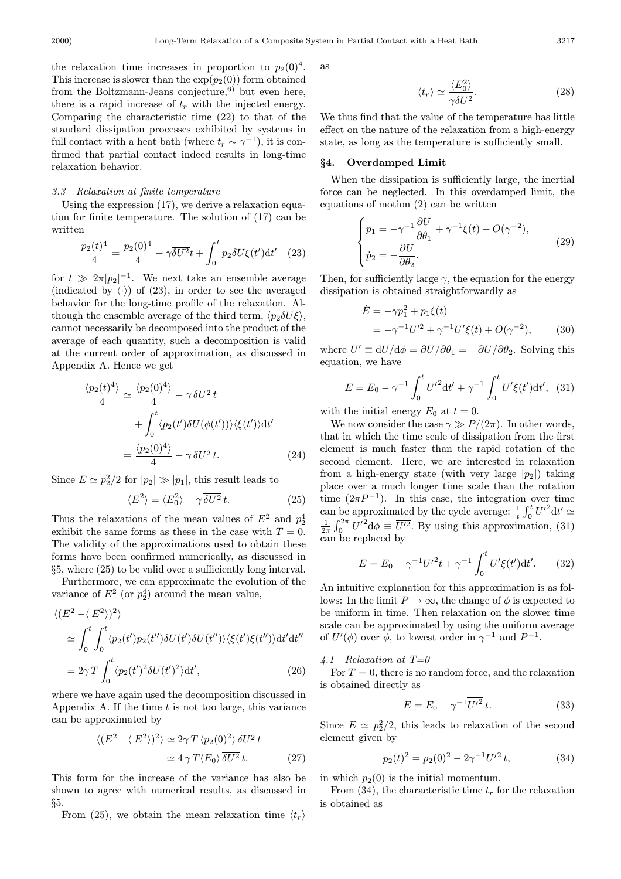the relaxation time increases in proportion to  $p_2(0)^4$ . This increase is slower than the  $\exp(p_2(0))$  form obtained from the Boltzmann-Jeans conjecture, $^{6)}$  but even here, there is a rapid increase of  $t_r$  with the injected energy. Comparing the characteristic time (22) to that of the standard dissipation processes exhibited by systems in full contact with a heat bath (where  $t_r \sim \gamma^{-1}$ ), it is confirmed that partial contact indeed results in long-time relaxation behavior.

#### 3.3 Relaxation at finite temperature

Using the expression (17), we derive a relaxation equation for finite temperature. The solution of (17) can be written

$$
\frac{p_2(t)^4}{4} = \frac{p_2(0)^4}{4} - \gamma \overline{\delta U^2} t + \int_0^t p_2 \delta U \xi(t') dt' \quad (23)
$$

for  $t \gg 2\pi |p_2|^{-1}$ . We next take an ensemble average (indicated by  $\langle \cdot \rangle$ ) of (23), in order to see the averaged behavior for the long-time profile of the relaxation. Although the ensemble average of the third term,  $\langle p_2 \delta U \xi \rangle$ , cannot necessarily be decomposed into the product of the average of each quantity, such a decomposition is valid at the current order of approximation, as discussed in Appendix A. Hence we get

$$
\frac{\langle p_2(t)^4 \rangle}{4} \simeq \frac{\langle p_2(0)^4 \rangle}{4} - \gamma \overline{\delta U^2} t
$$

$$
+ \int_0^t \langle p_2(t') \delta U(\phi(t')) \rangle \langle \xi(t') \rangle dt'
$$

$$
= \frac{\langle p_2(0)^4 \rangle}{4} - \gamma \overline{\delta U^2} t.
$$
(24)

Since  $E \simeq p_2^2/2$  for  $|p_2| \gg |p_1|$ , this result leads to

$$
\langle E^2 \rangle = \langle E_0^2 \rangle - \gamma \overline{\delta U^2} t. \tag{25}
$$

Thus the relaxations of the mean values of  $E^2$  and  $p_2^4$ exhibit the same forms as these in the case with  $T = 0$ . The validity of the approximations used to obtain these forms have been confirmed numerically, as discussed in §5, where (25) to be valid over a sufficiently long interval.

Furthermore, we can approximate the evolution of the variance of  $E^2$  (or  $p_2^4$ ) around the mean value,

$$
\langle (E^2 - \langle E^2 \rangle)^2 \rangle
$$
  
\n
$$
\simeq \int_0^t \int_0^t \langle p_2(t')p_2(t'')\delta U(t')\delta U(t'') \rangle \langle \xi(t')\xi(t'')\rangle dt' dt''
$$
  
\n
$$
= 2\gamma T \int_0^t \langle p_2(t')^2 \delta U(t')^2 \rangle dt', \qquad (26)
$$

where we have again used the decomposition discussed in Appendix A. If the time  $t$  is not too large, this variance can be approximated by

$$
\langle (E^2 - \langle E^2 \rangle)^2 \rangle \simeq 2\gamma T \langle p_2(0)^2 \rangle \overline{\delta U^2} t
$$
  

$$
\simeq 4 \gamma T \langle E_0 \rangle \overline{\delta U^2} t.
$$
 (27)

This form for the increase of the variance has also be shown to agree with numerical results, as discussed in §5.

From (25), we obtain the mean relaxation time  $\langle t_r \rangle$ 

as

$$
\langle t_r \rangle \simeq \frac{\langle E_0^2 \rangle}{\gamma \overline{\delta U^2}}.\tag{28}
$$

We thus find that the value of the temperature has little effect on the nature of the relaxation from a high-energy state, as long as the temperature is sufficiently small.

#### §4. Overdamped Limit

When the dissipation is sufficiently large, the inertial force can be neglected. In this overdamped limit, the equations of motion (2) can be written

$$
\begin{cases}\np_1 = -\gamma^{-1} \frac{\partial U}{\partial \theta_1} + \gamma^{-1} \xi(t) + O(\gamma^{-2}), \\
\dot{p}_2 = -\frac{\partial U}{\partial \theta_2}.\n\end{cases} \tag{29}
$$

Then, for sufficiently large  $\gamma$ , the equation for the energy dissipation is obtained straightforwardly as

$$
\dot{E} = -\gamma p_1^2 + p_1 \xi(t) \n= -\gamma^{-1} U'^2 + \gamma^{-1} U' \xi(t) + O(\gamma^{-2}),
$$
\n(30)

where  $U' \equiv dU/d\phi = \partial U/\partial \theta_1 = -\partial U/\partial \theta_2$ . Solving this equation, we have

$$
E = E_0 - \gamma^{-1} \int_0^t U'^2 dt' + \gamma^{-1} \int_0^t U' \xi(t') dt', \quad (31)
$$

with the initial energy  $E_0$  at  $t = 0$ .

We now consider the case  $\gamma \gg P/(2\pi)$ . In other words, that in which the time scale of dissipation from the first element is much faster than the rapid rotation of the second element. Here, we are interested in relaxation from a high-energy state (with very large  $|p_2|$ ) taking place over a much longer time scale than the rotation time  $(2\pi P^{-1})$ . In this case, the integration over time can be approximated by the cycle average:  $\frac{1}{t} \int_0^t U'^2 dt' \simeq$  $\frac{1}{2\pi} \int_0^{2\pi} U'^2 d\phi \equiv \overline{U'^2}$ . By using this approximation, (31) can be replaced by

$$
E = E_0 - \gamma^{-1} \overline{U'}^2 t + \gamma^{-1} \int_0^t U' \xi(t') dt'.
$$
 (32)

An intuitive explanation for this approximation is as follows: In the limit  $P \to \infty$ , the change of  $\phi$  is expected to be uniform in time. Then relaxation on the slower time scale can be approximated by using the uniform average of  $U'(\phi)$  over  $\phi$ , to lowest order in  $\gamma^{-1}$  and  $P^{-1}$ .

4.1 Relaxation at  $T=0$ 

For  $T = 0$ , there is no random force, and the relaxation is obtained directly as

$$
E = E_0 - \gamma^{-1} \overline{U'^2} t. \tag{33}
$$

Since  $E \simeq p_2^2/2$ , this leads to relaxation of the second element given by

$$
p_2(t)^2 = p_2(0)^2 - 2\gamma^{-1} \overline{U'^2} t,\tag{34}
$$

in which  $p_2(0)$  is the initial momentum.

From (34), the characteristic time  $t_r$  for the relaxation is obtained as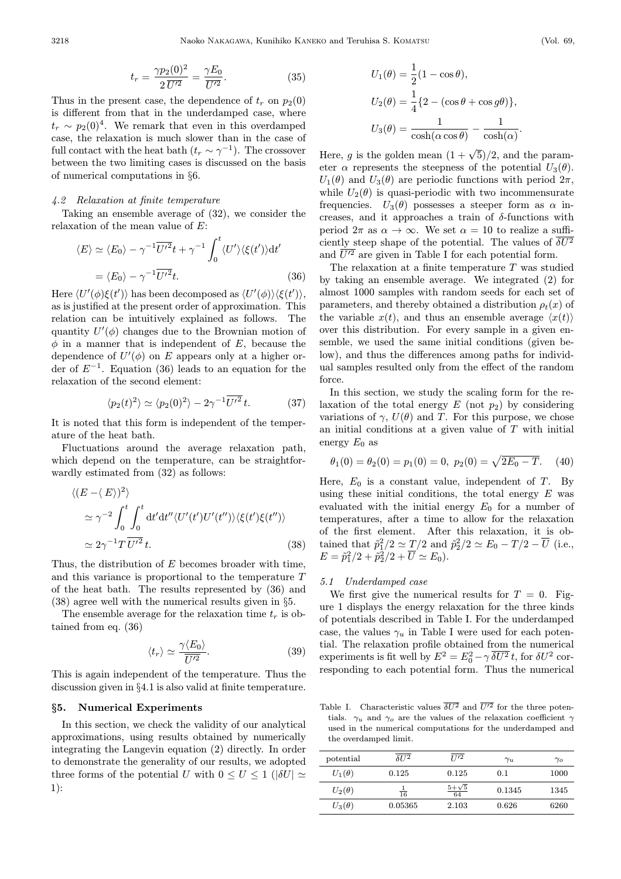$$
t_r = \frac{\gamma p_2(0)^2}{2 \overline{U'^2}} = \frac{\gamma E_0}{\overline{U'^2}}.
$$
 (35)

Thus in the present case, the dependence of  $t_r$  on  $p_2(0)$ is different from that in the underdamped case, where  $t_r \sim p_2(0)^4$ . We remark that even in this overdamped case, the relaxation is much slower than in the case of full contact with the heat bath  $(t_r \sim \gamma^{-1})$ . The crossover between the two limiting cases is discussed on the basis of numerical computations in §6.

# 4.2 Relaxation at finite temperature

Taking an ensemble average of (32), we consider the relaxation of the mean value of E:

$$
\langle E \rangle \simeq \langle E_0 \rangle - \gamma^{-1} \overline{U^{\prime 2}} t + \gamma^{-1} \int_0^t \langle U' \rangle \langle \xi(t') \rangle dt'
$$
  
=  $\langle E_0 \rangle - \gamma^{-1} \overline{U^{\prime 2}} t.$  (36)

Here  $\langle U'(\phi)\xi(t')\rangle$  has been decomposed as  $\langle U'(\phi)\rangle\langle \xi(t')\rangle$ , as is justified at the present order of approximation. This relation can be intuitively explained as follows. The quantity  $U'(\phi)$  changes due to the Brownian motion of  $\phi$  in a manner that is independent of E, because the dependence of  $U'(\phi)$  on E appears only at a higher order of  $E^{-1}$ . Equation (36) leads to an equation for the relaxation of the second element:

$$
\langle p_2(t)^2 \rangle \simeq \langle p_2(0)^2 \rangle - 2\gamma^{-1} \overline{U^{\prime 2}} t. \tag{37}
$$

It is noted that this form is independent of the temperature of the heat bath.

Fluctuations around the average relaxation path, which depend on the temperature, can be straightforwardly estimated from (32) as follows:

$$
\langle (E - \langle E \rangle)^2 \rangle
$$
  
\n
$$
\simeq \gamma^{-2} \int_0^t \int_0^t dt' dt'' \langle U'(t')U'(t'') \rangle \langle \xi(t')\xi(t'') \rangle
$$
  
\n
$$
\simeq 2\gamma^{-1} T \overline{U'^2} t.
$$
\n(38)

Thus, the distribution of  $E$  becomes broader with time, and this variance is proportional to the temperature T of the heat bath. The results represented by (36) and (38) agree well with the numerical results given in §5.

The ensemble average for the relaxation time  $t_r$  is obtained from eq. (36)

$$
\langle t_r \rangle \simeq \frac{\gamma \langle E_0 \rangle}{\overline{U'^2}}.
$$
\n(39)

This is again independent of the temperature. Thus the discussion given in §4.1 is also valid at finite temperature.

#### §5. Numerical Experiments

In this section, we check the validity of our analytical approximations, using results obtained by numerically integrating the Langevin equation (2) directly. In order to demonstrate the generality of our results, we adopted three forms of the potential U with  $0 \leq U \leq 1$  ( $|\delta U| \simeq$ 1):

$$
U_1(\theta) = \frac{1}{2}(1 - \cos \theta),
$$
  
\n
$$
U_2(\theta) = \frac{1}{4}\{2 - (\cos \theta + \cos g\theta)\},
$$
  
\n
$$
U_3(\theta) = \frac{1}{\cosh(\alpha \cos \theta)} - \frac{1}{\cosh(\alpha)}.
$$

Here, q is the golden mean  $(1 + \sqrt{5})/2$ , and the parameter  $\alpha$  represents the steepness of the potential  $U_3(\theta)$ .  $U_1(\theta)$  and  $U_3(\theta)$  are periodic functions with period  $2\pi$ , while  $U_2(\theta)$  is quasi-periodic with two incommensurate frequencies.  $U_3(\theta)$  possesses a steeper form as  $\alpha$  increases, and it approaches a train of  $\delta$ -functions with period  $2\pi$  as  $\alpha \to \infty$ . We set  $\alpha = 10$  to realize a sufficiently steep shape of the potential. The values of  $\overline{\delta U^2}$ and  $\overline{U'^2}$  are given in Table I for each potential form.

The relaxation at a finite temperature  $T$  was studied by taking an ensemble average. We integrated (2) for almost 1000 samples with random seeds for each set of parameters, and thereby obtained a distribution  $\rho_t(x)$  of the variable  $x(t)$ , and thus an ensemble average  $\langle x(t) \rangle$ over this distribution. For every sample in a given ensemble, we used the same initial conditions (given below), and thus the differences among paths for individual samples resulted only from the effect of the random force.

In this section, we study the scaling form for the relaxation of the total energy  $E$  (not  $p_2$ ) by considering variations of  $\gamma$ ,  $U(\theta)$  and T. For this purpose, we chose an initial conditions at a given value of  $T$  with initial energy  $E_0$  as

$$
\theta_1(0) = \theta_2(0) = p_1(0) = 0, \ p_2(0) = \sqrt{2E_0 - T}.
$$
 (40)

Here,  $E_0$  is a constant value, independent of T. By using these initial conditions, the total energy  $E$  was evaluated with the initial energy  $E_0$  for a number of temperatures, after a time to allow for the relaxation of the first element. After this relaxation, it is obtained that  $\tilde{p}_1^2/2 \simeq T/2$  and  $\tilde{p}_2^2/2 \simeq E_0 - T/2 - \overline{U}$  (i.e.,  $E = \tilde{p}_1^2/2 + \tilde{p}_2^2/2 + \overline{U} \simeq E_0.$ 

#### 5.1 Underdamped case

We first give the numerical results for  $T = 0$ . Figure 1 displays the energy relaxation for the three kinds of potentials described in Table I. For the underdamped case, the values  $\gamma_u$  in Table I were used for each potential. The relaxation profile obtained from the numerical experiments is fit well by  $E^2 = E_0^2 - \gamma \, \overline{\delta U^2} t$ , for  $\delta U^2$  corresponding to each potential form. Thus the numerical

Table I. Characteristic values  $\overline{\delta U^2}$  and  $\overline{U'^2}$  for the three potentials.  $\gamma_u$  and  $\gamma_o$  are the values of the relaxation coefficient  $\gamma$ used in the numerical computations for the underdamped and the overdamped limit.

| potential     | 8112    | $\overline{I}$ $\overline{I}$ $\overline{I}$ | $\gamma_u$ | $\gamma_{o}$ |
|---------------|---------|----------------------------------------------|------------|--------------|
| $U_1(\theta)$ | 0.125   | 0.125                                        | 0.1        | 1000         |
| $U_2(\theta)$ | 16      | 64                                           | 0.1345     | 1345         |
| $U_3(\theta)$ | 0.05365 | 2.103                                        | 0.626      | 6260         |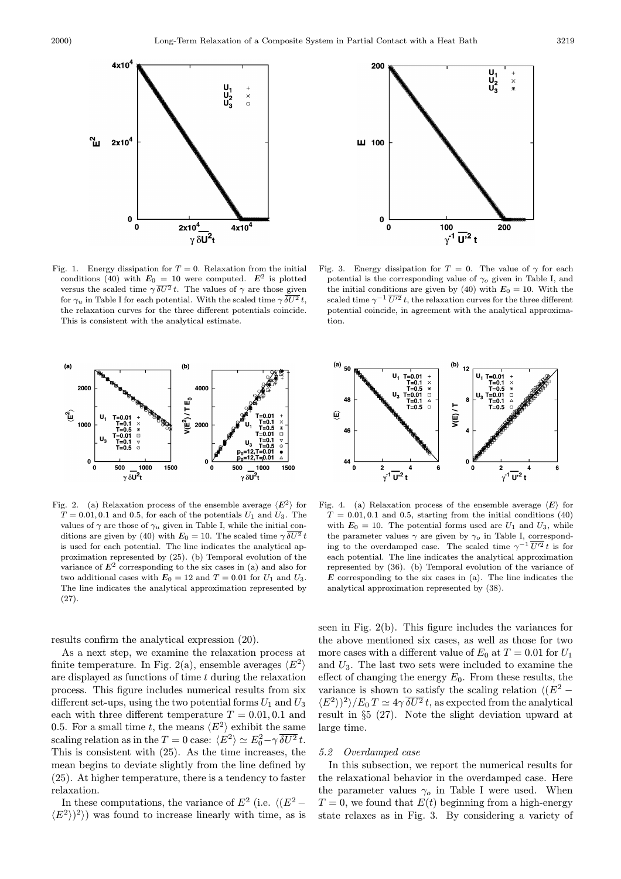

Fig. 1. Energy dissipation for  $T = 0$ . Relaxation from the initial conditions (40) with  $E_0 = 10$  were computed.  $E^2$  is plotted versus the scaled time  $\gamma \overline{\delta U^2} t$ . The values of  $\gamma$  are those given for  $\gamma_u$  in Table I for each potential. With the scaled time  $\gamma \overline{\delta U^2} t$ , the relaxation curves for the three different potentials coincide. This is consistent with the analytical estimate.



Fig. 2. (a) Relaxation process of the ensemble average  $\langle E^2 \rangle$  for  $T = 0.01, 0.1$  and 0.5, for each of the potentials  $U_1$  and  $U_3$ . The values of  $\gamma$  are those of  $\gamma_u$  given in Table I, while the initial conditions are given by (40) with  $E_0 = 10$ . The scaled time  $\gamma \overline{\delta U^2} t$ is used for each potential. The line indicates the analytical approximation represented by (25). (b) Temporal evolution of the variance of  $E^2$  corresponding to the six cases in (a) and also for two additional cases with  $E_0 = 12$  and  $T = 0.01$  for  $U_1$  and  $U_3$ . The line indicates the analytical approximation represented by (27).

results confirm the analytical expression (20).

mean begins to deviate slightly from the line defined by (25). At higher temperature, there is a tendency to faster relaxation. As a next step, we examine the relaxation process at finite temperature. In Fig. 2(a), ensemble averages  $\langle E^2 \rangle$ are displayed as functions of time  $t$  during the relaxation process. This figure includes numerical results from six different set-ups, using the two potential forms  $U_1$  and  $U_3$ each with three different temperature  $T = 0.01, 0.1$  and 0.5. For a small time t, the means  $\langle E^2 \rangle$  exhibit the same scaling relation as in the  $T = 0$  case:  $\langle E^2 \rangle \simeq E_0^2 - \gamma \overline{\delta U^2} t$ . This is consistent with (25). As the time increases, the

In these computations, the variance of  $E^2$  (i.e.  $\langle (E^2 \langle E^2 \rangle$ <sup>2</sup>) was found to increase linearly with time, as is



Fig. 3. Energy dissipation for  $T = 0$ . The value of  $\gamma$  for each potential is the corresponding value of  $\gamma_o$  given in Table I, and the initial conditions are given by (40) with  $E_0 = 10$ . With the scaled time  $\gamma^{-1} \overline{U'^2} t$ , the relaxation curves for the three different potential coincide, in agreement with the analytical approximation.



Fig. 4. (a) Relaxation process of the ensemble average  $\langle E \rangle$  for  $T = 0.01, 0.1$  and 0.5, starting from the initial conditions (40) with  $E_0 = 10$ . The potential forms used are  $U_1$  and  $U_3$ , while the parameter values  $\gamma$  are given by  $\gamma_o$  in Table I, corresponding to the overdamped case. The scaled time  $\gamma^{-1} \overline{U'^2} t$  is for each potential. The line indicates the analytical approximation represented by (36). (b) Temporal evolution of the variance of  $E$  corresponding to the six cases in (a). The line indicates the analytical approximation represented by (38).

seen in Fig. 2(b). This figure includes the variances for the above mentioned six cases, as well as those for two more cases with a different value of  $E_0$  at  $T = 0.01$  for  $U_1$ and  $U_3$ . The last two sets were included to examine the effect of changing the energy  $E_0$ . From these results, the variance is shown to satisfy the scaling relation  $\langle (E^2 \langle E^2 \rangle^2 \rangle / E_0 T \simeq 4\gamma \overline{\delta U^2} t$ , as expected from the analytical result in §5 (27). Note the slight deviation upward at large time.

# 5.2 Overdamped case

In this subsection, we report the numerical results for the relaxational behavior in the overdamped case. Here the parameter values  $\gamma_o$  in Table I were used. When  $T = 0$ , we found that  $E(t)$  beginning from a high-energy state relaxes as in Fig. 3. By considering a variety of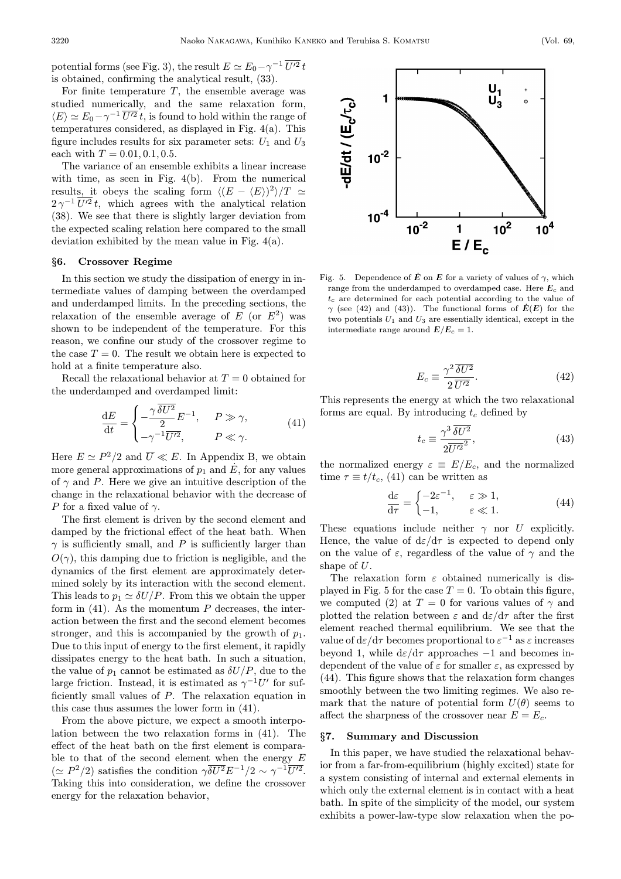potential forms (see Fig. 3), the result  $E \simeq E_0 - \gamma^{-1} \overline{U'^2} t$ is obtained, confirming the analytical result, (33).

For finite temperature  $T$ , the ensemble average was studied numerically, and the same relaxation form,  $\langle E \rangle \simeq E_0 - \gamma^{-1} \overline{U'^2} t$ , is found to hold within the range of temperatures considered, as displayed in Fig. 4(a). This figure includes results for six parameter sets:  $U_1$  and  $U_3$ each with  $T = 0.01, 0.1, 0.5$ .

The variance of an ensemble exhibits a linear increase with time, as seen in Fig. 4(b). From the numerical results, it obeys the scaling form  $\langle (E - \langle E \rangle)^2 \rangle / T \simeq$  $2\gamma^{-1}\overline{U'^2}t$ , which agrees with the analytical relation (38). We see that there is slightly larger deviation from the expected scaling relation here compared to the small deviation exhibited by the mean value in Fig. 4(a).

#### §6. Crossover Regime

In this section we study the dissipation of energy in intermediate values of damping between the overdamped and underdamped limits. In the preceding sections, the relaxation of the ensemble average of  $E$  (or  $E^2$ ) was shown to be independent of the temperature. For this reason, we confine our study of the crossover regime to the case  $T = 0$ . The result we obtain here is expected to hold at a finite temperature also.

Recall the relaxational behavior at  $T = 0$  obtained for the underdamped and overdamped limit:

$$
\frac{\mathrm{d}E}{\mathrm{d}t} = \begin{cases}\n-\frac{\gamma \, \overline{\delta U^2}}{2} E^{-1}, & P \gg \gamma, \\
-\gamma^{-1} \overline{U'^2}, & P \ll \gamma.\n\end{cases} \tag{41}
$$

Here  $E \simeq P^2/2$  and  $\overline{U} \ll E$ . In Appendix B, we obtain more general approximations of  $p_1$  and  $\dot{E}$ , for any values of  $\gamma$  and P. Here we give an intuitive description of the change in the relaxational behavior with the decrease of P for a fixed value of  $\gamma$ .

 $O(\gamma)$ , this damping due to friction is negligible, and the dynamics of the first element are approximately determined solely by its interaction with the second element. This leads to  $p_1 \simeq \delta U/P$ . From this we obtain the upper form in  $(41)$ . As the momentum P decreases, the interaction between the first and the second element becomes stronger, and this is accompanied by the growth of  $p_1$ . Due to this input of energy to the first element, it rapidly dissipates energy to the heat bath. In such a situation, the value of  $p_1$  cannot be estimated as  $\delta U/P$ , due to the large friction. Instead, it is estimated as  $\gamma^{-1}U'$  for sufficiently small values of P. The relaxation equation in this case thus assumes the lower form in (41). The first element is driven by the second element and damped by the frictional effect of the heat bath. When  $\gamma$  is sufficiently small, and P is sufficiently larger than

From the above picture, we expect a smooth interpolation between the two relaxation forms in (41). The effect of the heat bath on the first element is comparable to that of the second element when the energy  $E$  $(\simeq P^2/2)$  satisfies the condition  $\gamma \overline{\delta U^2} E^{-1/2} \sim \gamma^{-1} \overline{U'^2}$ . Taking this into consideration, we define the crossover energy for the relaxation behavior,



Fig. 5. Dependence of  $\dot{E}$  on E for a variety of values of  $\gamma$ , which range from the underdamped to overdamped case. Here  $E_c$  and  $t_c$  are determined for each potential according to the value of  $\gamma$  (see (42) and (43)). The functional forms of  $\dot{E}(E)$  for the two potentials  $U_1$  and  $U_3$  are essentially identical, except in the intermediate range around  $E/E_c = 1$ .

$$
E_c \equiv \frac{\gamma^2 \,\overline{\delta U^2}}{2\,\overline{U'^2}}.\tag{42}
$$

This represents the energy at which the two relaxational forms are equal. By introducing  $t_c$  defined by

$$
t_c \equiv \frac{\gamma^3 \,\overline{\delta U^2}}{2\overline{U'^2}},\tag{43}
$$

the normalized energy  $\varepsilon \equiv E/E_c$ , and the normalized time  $\tau \equiv t/t_c$ , (41) can be written as

$$
\frac{\mathrm{d}\varepsilon}{\mathrm{d}\tau} = \begin{cases}\n-2\varepsilon^{-1}, & \varepsilon \gg 1, \\
-1, & \varepsilon \ll 1.\n\end{cases} \tag{44}
$$

These equations include neither  $\gamma$  nor U explicitly. Hence, the value of  $d\varepsilon/d\tau$  is expected to depend only on the value of  $\varepsilon$ , regardless of the value of  $\gamma$  and the shape of U.

The relaxation form  $\varepsilon$  obtained numerically is displayed in Fig. 5 for the case  $T = 0$ . To obtain this figure, we computed (2) at  $T = 0$  for various values of  $\gamma$  and plotted the relation between  $\varepsilon$  and  $d\varepsilon/d\tau$  after the first element reached thermal equilibrium. We see that the value of d $\varepsilon/d\tau$  becomes proportional to  $\varepsilon^{-1}$  as  $\varepsilon$  increases beyond 1, while  $d\varepsilon/d\tau$  approaches  $-1$  and becomes independent of the value of  $\varepsilon$  for smaller  $\varepsilon$ , as expressed by (44). This figure shows that the relaxation form changes smoothly between the two limiting regimes. We also remark that the nature of potential form  $U(\theta)$  seems to affect the sharpness of the crossover near  $E = E_c$ .

#### §7. Summary and Discussion

In this paper, we have studied the relaxational behavior from a far-from-equilibrium (highly excited) state for a system consisting of internal and external elements in which only the external element is in contact with a heat bath. In spite of the simplicity of the model, our system exhibits a power-law-type slow relaxation when the po-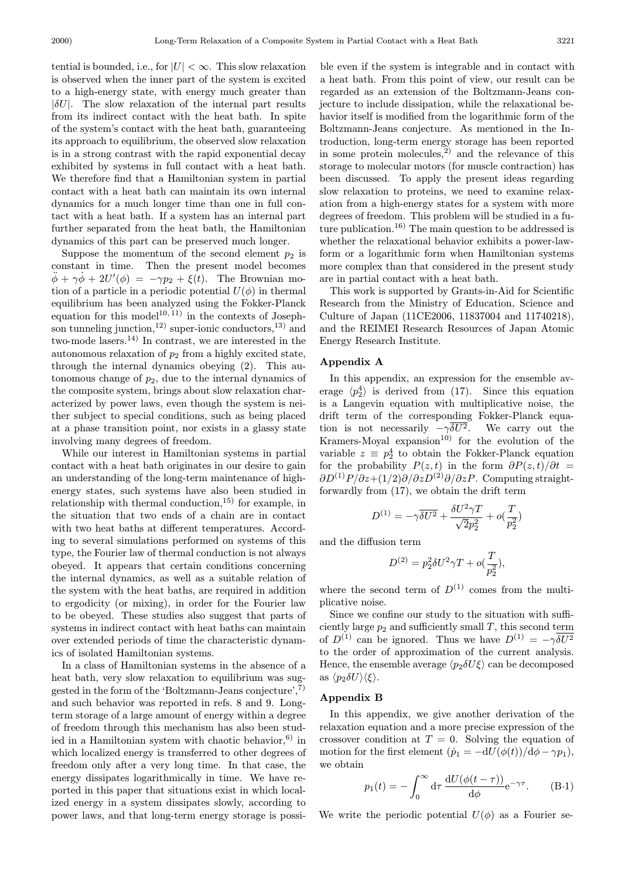$|\delta U|$ . The slow relaxation of the internal part results from its indirect contact with the heat bath. In spite of the system's contact with the heat bath, guaranteeing its approach to equilibrium, the observed slow relaxation is in a strong contrast with the rapid exponential decay exhibited by systems in full contact with a heat bath. We therefore find that a Hamiltonian system in partial contact with a heat bath can maintain its own internal dynamics for a much longer time than one in full contact with a heat bath. If a system has an internal part further separated from the heat bath, the Hamiltonian dynamics of this part can be preserved much longer. tential is bounded, i.e., for  $|U| < \infty$ . This slow relaxation is observed when the inner part of the system is excited to a high-energy state, with energy much greater than

Suppose the momentum of the second element  $p_2$  is constant in time. Then the present model becomes  $\ddot{\phi} + \gamma \dot{\phi} + 2U'(\phi) = -\gamma p_2 + \xi(t)$ . The Brownian motion of a particle in a periodic potential  $U(\phi)$  in thermal equilibrium has been analyzed using the Fokker-Planck equation for this model<sup>10, 11</sup>) in the contexts of Josephson tunneling junction,<sup>12)</sup> super-ionic conductors,<sup>13)</sup> and two-mode lasers.14) In contrast, we are interested in the autonomous relaxation of  $p_2$  from a highly excited state, through the internal dynamics obeying (2). This autonomous change of  $p_2$ , due to the internal dynamics of the composite system, brings about slow relaxation characterized by power laws, even though the system is neither subject to special conditions, such as being placed at a phase transition point, nor exists in a glassy state involving many degrees of freedom.

While our interest in Hamiltonian systems in partial contact with a heat bath originates in our desire to gain an understanding of the long-term maintenance of highenergy states, such systems have also been studied in relationship with thermal conduction,<sup>15)</sup> for example, in the situation that two ends of a chain are in contact with two heat baths at different temperatures. According to several simulations performed on systems of this type, the Fourier law of thermal conduction is not always obeyed. It appears that certain conditions concerning the internal dynamics, as well as a suitable relation of the system with the heat baths, are required in addition to ergodicity (or mixing), in order for the Fourier law to be obeyed. These studies also suggest that parts of systems in indirect contact with heat baths can maintain over extended periods of time the characteristic dynamics of isolated Hamiltonian systems.

In a class of Hamiltonian systems in the absence of a heat bath, very slow relaxation to equilibrium was suggested in the form of the 'Boltzmann-Jeans conjecture',7) and such behavior was reported in refs. 8 and 9. Longterm storage of a large amount of energy within a degree of freedom through this mechanism has also been studied in a Hamiltonian system with chaotic behavior,  $6$ ) in which localized energy is transferred to other degrees of freedom only after a very long time. In that case, the energy dissipates logarithmically in time. We have reported in this paper that situations exist in which localized energy in a system dissipates slowly, according to power laws, and that long-term energy storage is possi-

ble even if the system is integrable and in contact with a heat bath. From this point of view, our result can be regarded as an extension of the Boltzmann-Jeans conjecture to include dissipation, while the relaxational behavior itself is modified from the logarithmic form of the Boltzmann-Jeans conjecture. As mentioned in the Introduction, long-term energy storage has been reported in some protein molecules, $\overline{2}$  and the relevance of this storage to molecular motors (for muscle contraction) has been discussed. To apply the present ideas regarding slow relaxation to proteins, we need to examine relaxation from a high-energy states for a system with more degrees of freedom. This problem will be studied in a future publication.16) The main question to be addressed is whether the relaxational behavior exhibits a power-lawform or a logarithmic form when Hamiltonian systems more complex than that considered in the present study are in partial contact with a heat bath.

This work is supported by Grants-in-Aid for Scientific Research from the Ministry of Education, Science and Culture of Japan (11CE2006, 11837004 and 11740218), and the REIMEI Research Resources of Japan Atomic Energy Research Institute.

#### Appendix A

In this appendix, an expression for the ensemble average  $\langle p_2^4 \rangle$  is derived from (17). Since this equation is a Langevin equation with multiplicative noise, the drift term of the corresponding Fokker-Planck equation is not necessarily  $-\gamma \delta U^2$ . We carry out the Kramers-Moyal expansion<sup>10</sup> for the evolution of the variable  $z \equiv p_2^4$  to obtain the Fokker-Planck equation for the probability  $P(z, t)$  in the form  $\partial P(z, t)/\partial t =$  $\partial D^{(1)}P/\partial z+(1/2)\partial/\partial zD^{(2)}\partial/\partial zP$ . Computing straightforwardly from (17), we obtain the drift term

$$
D^{(1)} = -\gamma \overline{\delta U^2} + \frac{\delta U^2 \gamma T}{\sqrt{2}p_2^2} + o(\frac{T}{p_2^2})
$$

and the diffusion term

$$
D^{(2)} = p_2^2 \delta U^2 \gamma T + o(\frac{T}{p_2^2}),
$$

where the second term of  $D^{(1)}$  comes from the multiplicative noise.

Since we confine our study to the situation with sufficiently large  $p_2$  and sufficiently small T, this second term of  $D^{(1)}$  can be ignored. Thus we have  $D^{(1)} = -\gamma \overline{\delta U^2}$ to the order of approximation of the current analysis. Hence, the ensemble average  $\langle p_2 \delta U \xi \rangle$  can be decomposed as  $\langle p_2 \delta U \rangle \langle \xi \rangle$ .

## Appendix B

In this appendix, we give another derivation of the relaxation equation and a more precise expression of the crossover condition at  $T = 0$ . Solving the equation of motion for the first element  $(\dot{p}_1 = -dU(\phi(t))/d\phi - \gamma p_1),$ we obtain

$$
p_1(t) = -\int_0^\infty d\tau \, \frac{\mathrm{d}U(\phi(t-\tau))}{\mathrm{d}\phi} \mathrm{e}^{-\gamma \tau}.
$$
 (B-1)

We write the periodic potential  $U(\phi)$  as a Fourier se-